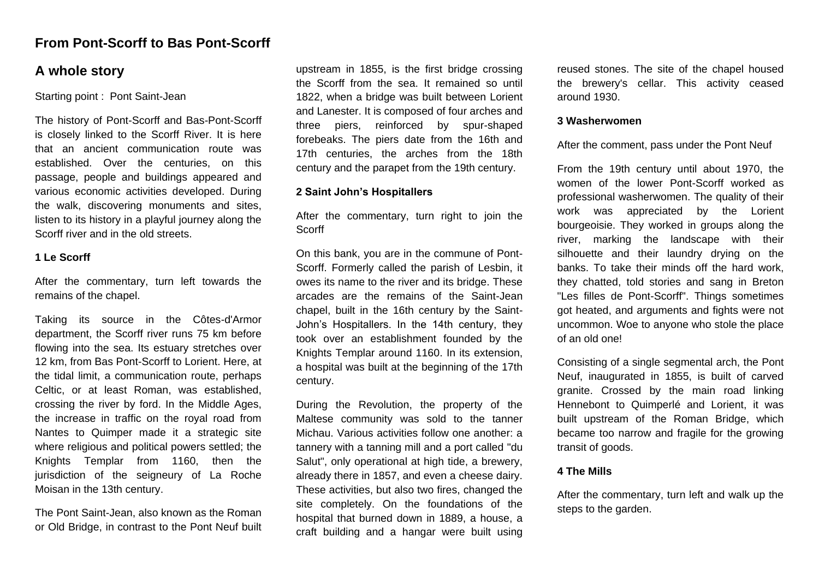# **From Pont-Scorff to Bas Pont-Scorff**

# **A whole story**

Starting point : Pont Saint-Jean

The history of Pont-Scorff and Bas-Pont-Scorff is closely linked to the Scorff River. It is here that an ancient communication route was established. Over the centuries, on this passage, people and buildings appeared and various economic activities developed. During the walk, discovering monuments and sites, listen to its history in a playful journey along the Scorff river and in the old streets.

# **1 Le Scorff**

After the commentary, turn left towards the remains of the chapel.

Taking its source in the Côtes-d'Armor department, the Scorff river runs 75 km before flowing into the sea. Its estuary stretches over 12 km, from Bas Pont-Scorff to Lorient. Here, at the tidal limit, a communication route, perhaps Celtic, or at least Roman, was established, crossing the river by ford. In the Middle Ages, the increase in traffic on the royal road from Nantes to Quimper made it a strategic site where religious and political powers settled; the Knights Templar from 1160, then the jurisdiction of the seigneury of La Roche Moisan in the 13th century.

The Pont Saint-Jean, also known as the Roman or Old Bridge, in contrast to the Pont Neuf built upstream in 1855, is the first bridge crossing the Scorff from the sea. It remained so until 1822, when a bridge was built between Lorient and Lanester. It is composed of four arches and three piers, reinforced by spur-shaped forebeaks. The piers date from the 16th and 17th centuries, the arches from the 18th century and the parapet from the 19th century.

## **2 Saint John's Hospitallers**

After the commentary, turn right to join the Scorff

On this bank, you are in the commune of Pont-Scorff. Formerly called the parish of Lesbin, it owes its name to the river and its bridge. These arcades are the remains of the Saint-Jean chapel, built in the 16th century by the Saint-John's Hospitallers. In the 14th century, they took over an establishment founded by the Knights Templar around 1160. In its extension, a hospital was built at the beginning of the 17th century.

During the Revolution, the property of the Maltese community was sold to the tanner Michau. Various activities follow one another: a tannery with a tanning mill and a port called "du Salut", only operational at high tide, a brewery, already there in 1857, and even a cheese dairy. These activities, but also two fires, changed the site completely. On the foundations of the hospital that burned down in 1889, a house, a craft building and a hangar were built using reused stones. The site of the chapel housed the brewery's cellar. This activity ceased around 1930.

#### **3 Washerwomen**

## After the comment, pass under the Pont Neuf

From the 19th century until about 1970, the women of the lower Pont-Scorff worked as professional washerwomen. The quality of their work was appreciated by the Lorient bourgeoisie. They worked in groups along the river, marking the landscape with their silhouette and their laundry drying on the banks. To take their minds off the hard work, they chatted, told stories and sang in Breton "Les filles de Pont-Scorff". Things sometimes got heated, and arguments and fights were not uncommon. Woe to anyone who stole the place of an old one!

Consisting of a single segmental arch, the Pont Neuf, inaugurated in 1855, is built of carved granite. Crossed by the main road linking Hennebont to Quimperlé and Lorient, it was built upstream of the Roman Bridge, which became too narrow and fragile for the growing transit of goods.

## **4 The Mills**

After the commentary, turn left and walk up the steps to the garden.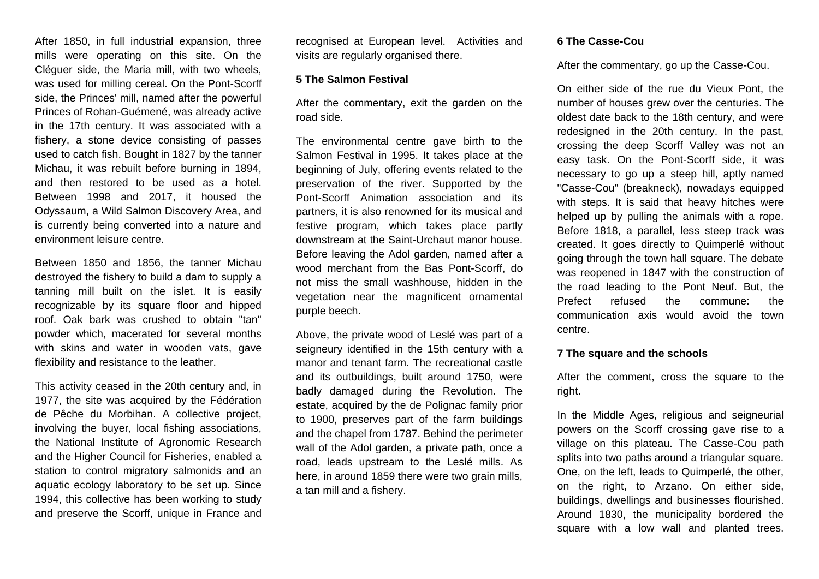After 1850, in full industrial expansion, three mills were operating on this site. On the Cléguer side, the Maria mill, with two wheels, was used for milling cereal. On the Pont-Scorff side, the Princes' mill, named after the powerful Princes of Rohan-Guémené, was already active in the 17th century. It was associated with a fishery, a stone device consisting of passes used to catch fish. Bought in 1827 by the tanner Michau, it was rebuilt before burning in 1894, and then restored to be used as a hotel. Between 1998 and 2017, it housed the Odyssaum, a Wild Salmon Discovery Area, and is currently being converted into a nature and environment leisure centre.

Between 1850 and 1856, the tanner Michau destroyed the fishery to build a dam to supply a tanning mill built on the islet. It is easily recognizable by its square floor and hipped roof. Oak bark was crushed to obtain "tan" powder which, macerated for several months with skins and water in wooden vats, gave flexibility and resistance to the leather.

This activity ceased in the 20th century and, in 1977, the site was acquired by the Fédération de Pêche du Morbihan. A collective project, involving the buyer, local fishing associations, the National Institute of Agronomic Research and the Higher Council for Fisheries, enabled a station to control migratory salmonids and an aquatic ecology laboratory to be set up. Since 1994, this collective has been working to study and preserve the Scorff, unique in France and

recognised at European level. Activities and visits are regularly organised there.

#### **5 The Salmon Festival**

After the commentary, exit the garden on the road side.

The environmental centre gave birth to the Salmon Festival in 1995. It takes place at the beginning of July, offering events related to the preservation of the river. Supported by the Pont-Scorff Animation association and its partners, it is also renowned for its musical and festive program, which takes place partly downstream at the Saint-Urchaut manor house. Before leaving the Adol garden, named after a wood merchant from the Bas Pont-Scorff, do not miss the small washhouse, hidden in the vegetation near the magnificent ornamental purple beech.

Above, the private wood of Leslé was part of a seigneury identified in the 15th century with a manor and tenant farm. The recreational castle and its outbuildings, built around 1750, were badly damaged during the Revolution. The estate, acquired by the de Polignac family prior to 1900, preserves part of the farm buildings and the chapel from 1787. Behind the perimeter wall of the Adol garden, a private path, once a road, leads upstream to the Leslé mills. As here, in around 1859 there were two grain mills. a tan mill and a fishery.

#### **6 The Casse-Cou**

After the commentary, go up the Casse-Cou.

On either side of the rue du Vieux Pont, the number of houses grew over the centuries. The oldest date back to the 18th century, and were redesigned in the 20th century. In the past, crossing the deep Scorff Valley was not an easy task. On the Pont-Scorff side, it was necessary to go up a steep hill, aptly named "Casse-Cou" (breakneck), nowadays equipped with steps. It is said that heavy hitches were helped up by pulling the animals with a rope. Before 1818, a parallel, less steep track was created. It goes directly to Quimperlé without going through the town hall square. The debate was reopened in 1847 with the construction of the road leading to the Pont Neuf. But, the Prefect refused the commune: the communication axis would avoid the town centre.

#### **7 The square and the schools**

After the comment, cross the square to the right.

In the Middle Ages, religious and seigneurial powers on the Scorff crossing gave rise to a village on this plateau. The Casse-Cou path splits into two paths around a triangular square. One, on the left, leads to Quimperlé, the other, on the right, to Arzano. On either side, buildings, dwellings and businesses flourished. Around 1830, the municipality bordered the square with a low wall and planted trees.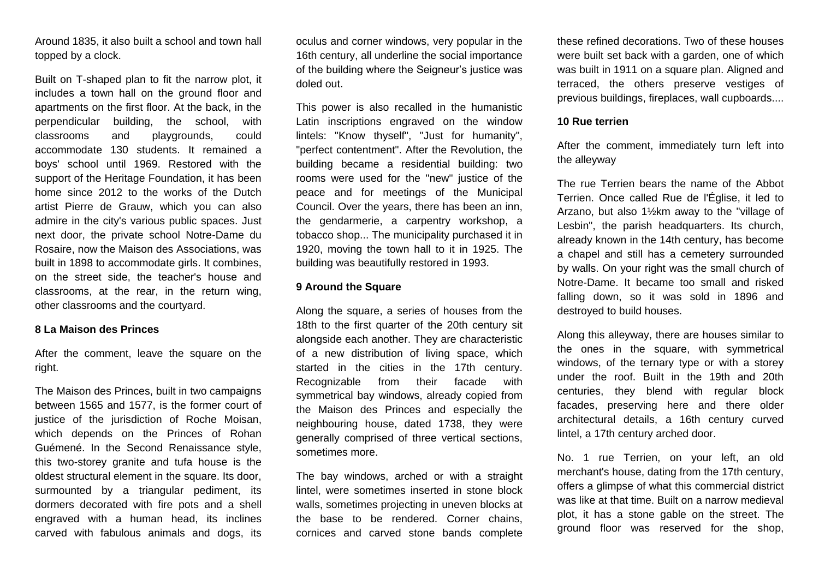Around 1835, it also built a school and town hall topped by a clock.

Built on T-shaped plan to fit the narrow plot, it includes a town hall on the ground floor and apartments on the first floor. At the back, in the perpendicular building, the school, with classrooms and playgrounds, could accommodate 130 students. It remained a boys' school until 1969. Restored with the support of the Heritage Foundation, it has been home since 2012 to the works of the Dutch artist Pierre de Grauw, which you can also admire in the city's various public spaces. Just next door, the private school Notre-Dame du Rosaire, now the Maison des Associations, was built in 1898 to accommodate girls. It combines, on the street side, the teacher's house and classrooms, at the rear, in the return wing, other classrooms and the courtyard.

#### **8 La Maison des Princes**

After the comment, leave the square on the right.

The Maison des Princes, built in two campaigns between 1565 and 1577, is the former court of justice of the jurisdiction of Roche Moisan, which depends on the Princes of Rohan Guémené. In the Second Renaissance style, this two-storey granite and tufa house is the oldest structural element in the square. Its door, surmounted by a triangular pediment, its dormers decorated with fire pots and a shell engraved with a human head, its inclines carved with fabulous animals and dogs, its

oculus and corner windows, very popular in the 16th century, all underline the social importance of the building where the Seigneur's justice was doled out.

This power is also recalled in the humanistic Latin inscriptions engraved on the window lintels: "Know thyself", "Just for humanity", "perfect contentment". After the Revolution, the building became a residential building: two rooms were used for the "new" justice of the peace and for meetings of the Municipal Council. Over the years, there has been an inn, the gendarmerie, a carpentry workshop, a tobacco shop... The municipality purchased it in 1920, moving the town hall to it in 1925. The building was beautifully restored in 1993.

## **9 Around the Square**

Along the square, a series of houses from the 18th to the first quarter of the 20th century sit alongside each another. They are characteristic of a new distribution of living space, which started in the cities in the 17th century. Recognizable from their facade with symmetrical bay windows, already copied from the Maison des Princes and especially the neighbouring house, dated 1738, they were generally comprised of three vertical sections, sometimes more.

The bay windows, arched or with a straight lintel, were sometimes inserted in stone block walls, sometimes projecting in uneven blocks at the base to be rendered. Corner chains, cornices and carved stone bands complete

these refined decorations. Two of these houses were built set back with a garden, one of which was built in 1911 on a square plan. Aligned and terraced, the others preserve vestiges of previous buildings, fireplaces, wall cupboards....

#### **10 Rue terrien**

After the comment, immediately turn left into the alleyway

The rue Terrien bears the name of the Abbot Terrien. Once called Rue de l'Église, it led to Arzano, but also 1½km away to the "village of Lesbin", the parish headquarters. Its church, already known in the 14th century, has become a chapel and still has a cemetery surrounded by walls. On your right was the small church of Notre-Dame. It became too small and risked falling down, so it was sold in 1896 and destroyed to build houses.

Along this alleyway, there are houses similar to the ones in the square, with symmetrical windows, of the ternary type or with a storey under the roof. Built in the 19th and 20th centuries, they blend with regular block facades, preserving here and there older architectural details, a 16th century curved lintel, a 17th century arched door.

No. 1 rue Terrien, on your left, an old merchant's house, dating from the 17th century, offers a glimpse of what this commercial district was like at that time. Built on a narrow medieval plot, it has a stone gable on the street. The ground floor was reserved for the shop,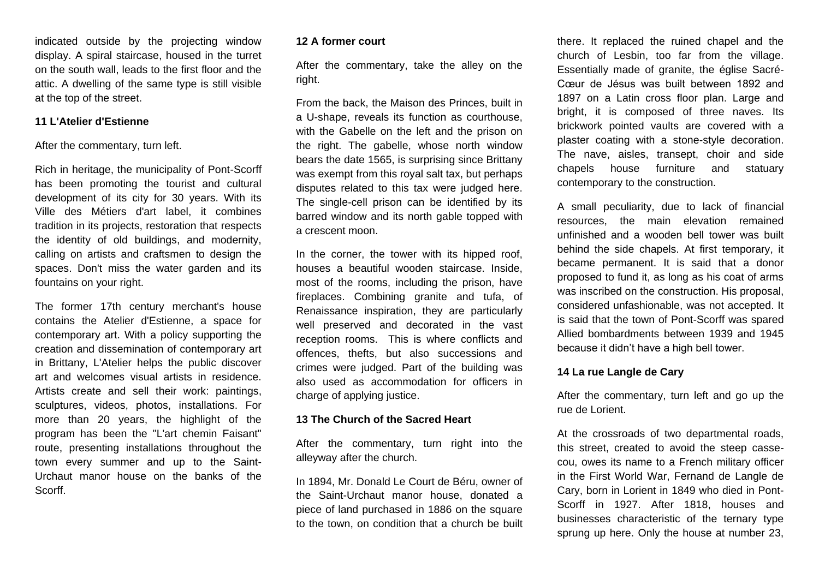indicated outside by the projecting window display. A spiral staircase, housed in the turret on the south wall, leads to the first floor and the attic. A dwelling of the same type is still visible at the top of the street.

## **11 L'Atelier d'Estienne**

After the commentary, turn left.

Rich in heritage, the municipality of Pont-Scorff has been promoting the tourist and cultural development of its city for 30 years. With its Ville des Métiers d'art label, it combines tradition in its projects, restoration that respects the identity of old buildings, and modernity, calling on artists and craftsmen to design the spaces. Don't miss the water garden and its fountains on your right.

The former 17th century merchant's house contains the Atelier d'Estienne, a space for contemporary art. With a policy supporting the creation and dissemination of contemporary art in Brittany, L'Atelier helps the public discover art and welcomes visual artists in residence. Artists create and sell their work: paintings, sculptures, videos, photos, installations. For more than 20 years, the highlight of the program has been the "L'art chemin Faisant" route, presenting installations throughout the town every summer and up to the Saint-Urchaut manor house on the banks of the Scorff.

#### **12 A former court**

After the commentary, take the alley on the right.

From the back, the Maison des Princes, built in a U-shape, reveals its function as courthouse, with the Gabelle on the left and the prison on the right. The gabelle, whose north window bears the date 1565, is surprising since Brittany was exempt from this royal salt tax, but perhaps disputes related to this tax were judged here. The single-cell prison can be identified by its barred window and its north gable topped with a crescent moon.

In the corner, the tower with its hipped roof, houses a beautiful wooden staircase. Inside, most of the rooms, including the prison, have fireplaces. Combining granite and tufa, of Renaissance inspiration, they are particularly well preserved and decorated in the vast reception rooms. This is where conflicts and offences, thefts, but also successions and crimes were judged. Part of the building was also used as accommodation for officers in charge of applying justice.

#### **13 The Church of the Sacred Heart**

After the commentary, turn right into the alleyway after the church.

In 1894, Mr. Donald Le Court de Béru, owner of the Saint-Urchaut manor house, donated a piece of land purchased in 1886 on the square to the town, on condition that a church be built there. It replaced the ruined chapel and the church of Lesbin, too far from the village. Essentially made of granite, the église Sacré-Cœur de Jésus was built between 1892 and 1897 on a Latin cross floor plan. Large and bright, it is composed of three naves. Its brickwork pointed vaults are covered with a plaster coating with a stone-style decoration. The nave, aisles, transept, choir and side chapels house furniture and statuary contemporary to the construction.

A small peculiarity, due to lack of financial resources, the main elevation remained unfinished and a wooden bell tower was built behind the side chapels. At first temporary, it became permanent. It is said that a donor proposed to fund it, as long as his coat of arms was inscribed on the construction. His proposal, considered unfashionable, was not accepted. It is said that the town of Pont-Scorff was spared Allied bombardments between 1939 and 1945 because it didn't have a high bell tower.

## **14 La rue Langle de Cary**

After the commentary, turn left and go up the rue de Lorient.

At the crossroads of two departmental roads, this street, created to avoid the steep cassecou, owes its name to a French military officer in the First World War, Fernand de Langle de Cary, born in Lorient in 1849 who died in Pont-Scorff in 1927. After 1818, houses and businesses characteristic of the ternary type sprung up here. Only the house at number 23,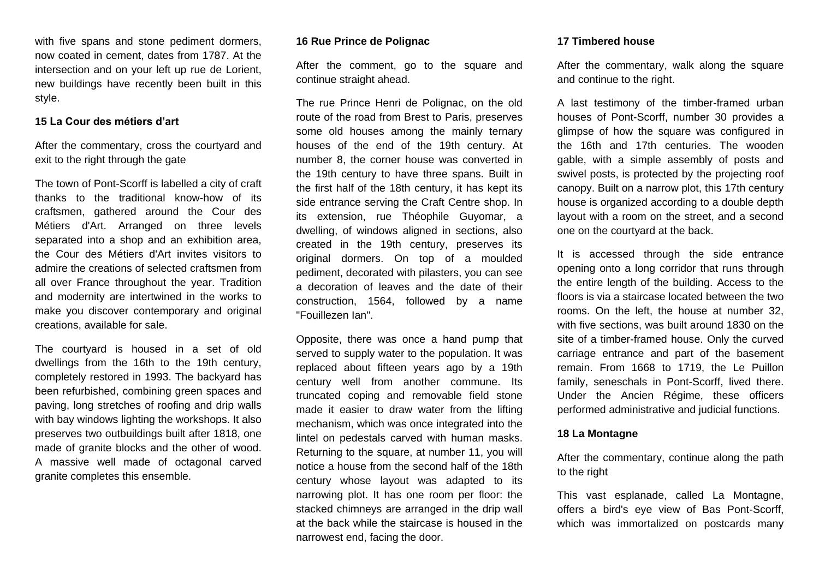with five spans and stone pediment dormers, now coated in cement, dates from 1787. At the intersection and on your left up rue de Lorient, new buildings have recently been built in this style.

### **15 La Cour des métiers d'art**

After the commentary, cross the courtyard and exit to the right through the gate

The town of Pont-Scorff is labelled a city of craft thanks to the traditional know-how of its craftsmen, gathered around the Cour des Métiers d'Art. Arranged on three levels separated into a shop and an exhibition area, the Cour des Métiers d'Art invites visitors to admire the creations of selected craftsmen from all over France throughout the year. Tradition and modernity are intertwined in the works to make you discover contemporary and original creations, available for sale.

The courtyard is housed in a set of old dwellings from the 16th to the 19th century, completely restored in 1993. The backyard has been refurbished, combining green spaces and paving, long stretches of roofing and drip walls with bay windows lighting the workshops. It also preserves two outbuildings built after 1818, one made of granite blocks and the other of wood. A massive well made of octagonal carved granite completes this ensemble.

## **16 Rue Prince de Polignac**

After the comment, go to the square and continue straight ahead.

The rue Prince Henri de Polignac, on the old route of the road from Brest to Paris, preserves some old houses among the mainly ternary houses of the end of the 19th century. At number 8, the corner house was converted in the 19th century to have three spans. Built in the first half of the 18th century, it has kept its side entrance serving the Craft Centre shop. In its extension, rue Théophile Guyomar, a dwelling, of windows aligned in sections, also created in the 19th century, preserves its original dormers. On top of a moulded pediment, decorated with pilasters, you can see a decoration of leaves and the date of their construction, 1564, followed by a name "Fouillezen Ian".

Opposite, there was once a hand pump that served to supply water to the population. It was replaced about fifteen years ago by a 19th century well from another commune. Its truncated coping and removable field stone made it easier to draw water from the lifting mechanism, which was once integrated into the lintel on pedestals carved with human masks. Returning to the square, at number 11, you will notice a house from the second half of the 18th century whose layout was adapted to its narrowing plot. It has one room per floor: the stacked chimneys are arranged in the drip wall at the back while the staircase is housed in the narrowest end, facing the door.

#### **17 Timbered house**

After the commentary, walk along the square and continue to the right.

A last testimony of the timber-framed urban houses of Pont-Scorff, number 30 provides a glimpse of how the square was configured in the 16th and 17th centuries. The wooden gable, with a simple assembly of posts and swivel posts, is protected by the projecting roof canopy. Built on a narrow plot, this 17th century house is organized according to a double depth layout with a room on the street, and a second one on the courtyard at the back.

It is accessed through the side entrance opening onto a long corridor that runs through the entire length of the building. Access to the floors is via a staircase located between the two rooms. On the left, the house at number 32, with five sections, was built around 1830 on the site of a timber-framed house. Only the curved carriage entrance and part of the basement remain. From 1668 to 1719, the Le Puillon family, seneschals in Pont-Scorff, lived there. Under the Ancien Régime, these officers performed administrative and judicial functions.

## **18 La Montagne**

After the commentary, continue along the path to the right

This vast esplanade, called La Montagne, offers a bird's eye view of Bas Pont-Scorff, which was immortalized on postcards many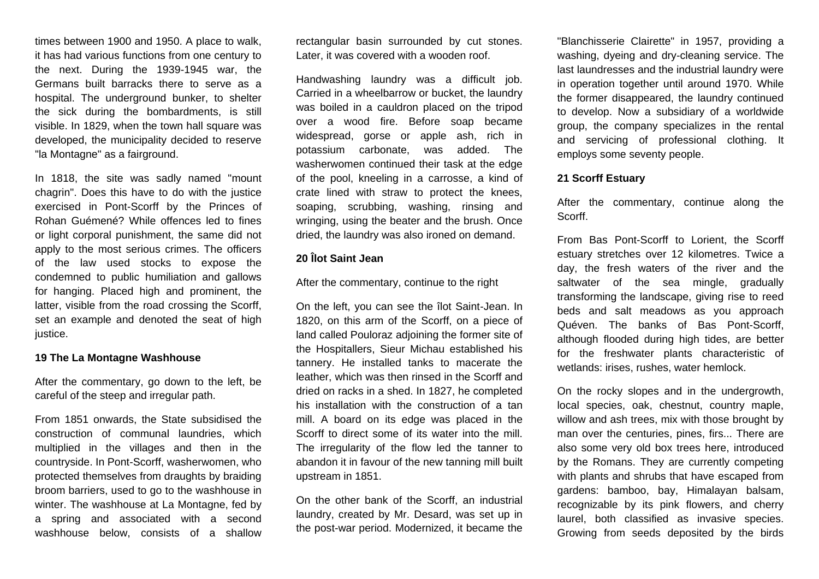times between 1900 and 1950. A place to walk, it has had various functions from one century to the next. During the 1939-1945 war, the Germans built barracks there to serve as a hospital. The underground bunker, to shelter the sick during the bombardments, is still visible. In 1829, when the town hall square was developed, the municipality decided to reserve "la Montagne" as a fairground.

In 1818, the site was sadly named "mount chagrin". Does this have to do with the justice exercised in Pont-Scorff by the Princes of Rohan Guémené? While offences led to fines or light corporal punishment, the same did not apply to the most serious crimes. The officers of the law used stocks to expose the condemned to public humiliation and gallows for hanging. Placed high and prominent, the latter, visible from the road crossing the Scorff, set an example and denoted the seat of high justice.

#### **19 The La Montagne Washhouse**

After the commentary, go down to the left, be careful of the steep and irregular path.

From 1851 onwards, the State subsidised the construction of communal laundries, which multiplied in the villages and then in the countryside. In Pont-Scorff, washerwomen, who protected themselves from draughts by braiding broom barriers, used to go to the washhouse in winter. The washhouse at La Montagne, fed by a spring and associated with a second washhouse below, consists of a shallow

rectangular basin surrounded by cut stones. Later, it was covered with a wooden roof.

Handwashing laundry was a difficult job. Carried in a wheelbarrow or bucket, the laundry was boiled in a cauldron placed on the tripod over a wood fire. Before soap became widespread, gorse or apple ash, rich in potassium carbonate, was added. The washerwomen continued their task at the edge of the pool, kneeling in a carrosse, a kind of crate lined with straw to protect the knees, soaping, scrubbing, washing, rinsing and wringing, using the beater and the brush. Once dried, the laundry was also ironed on demand.

## **20 Îlot Saint Jean**

After the commentary, continue to the right

On the left, you can see the îlot Saint-Jean. In 1820, on this arm of the Scorff, on a piece of land called Pouloraz adjoining the former site of the Hospitallers, Sieur Michau established his tannery. He installed tanks to macerate the leather, which was then rinsed in the Scorff and dried on racks in a shed. In 1827, he completed his installation with the construction of a tan mill. A board on its edge was placed in the Scorff to direct some of its water into the mill. The irregularity of the flow led the tanner to abandon it in favour of the new tanning mill built upstream in 1851.

On the other bank of the Scorff, an industrial laundry, created by Mr. Desard, was set up in the post-war period. Modernized, it became the

"Blanchisserie Clairette" in 1957, providing a washing, dyeing and dry-cleaning service. The last laundresses and the industrial laundry were in operation together until around 1970. While the former disappeared, the laundry continued to develop. Now a subsidiary of a worldwide group, the company specializes in the rental and servicing of professional clothing. It employs some seventy people.

#### **21 Scorff Estuary**

After the commentary, continue along the Scorff.

From Bas Pont-Scorff to Lorient, the Scorff estuary stretches over 12 kilometres. Twice a day, the fresh waters of the river and the saltwater of the sea mingle, gradually transforming the landscape, giving rise to reed beds and salt meadows as you approach Quéven. The banks of Bas Pont-Scorff, although flooded during high tides, are better for the freshwater plants characteristic of wetlands: irises, rushes, water hemlock.

On the rocky slopes and in the undergrowth, local species, oak, chestnut, country maple, willow and ash trees, mix with those brought by man over the centuries, pines, firs... There are also some very old box trees here, introduced by the Romans. They are currently competing with plants and shrubs that have escaped from gardens: bamboo, bay, Himalayan balsam, recognizable by its pink flowers, and cherry laurel, both classified as invasive species. Growing from seeds deposited by the birds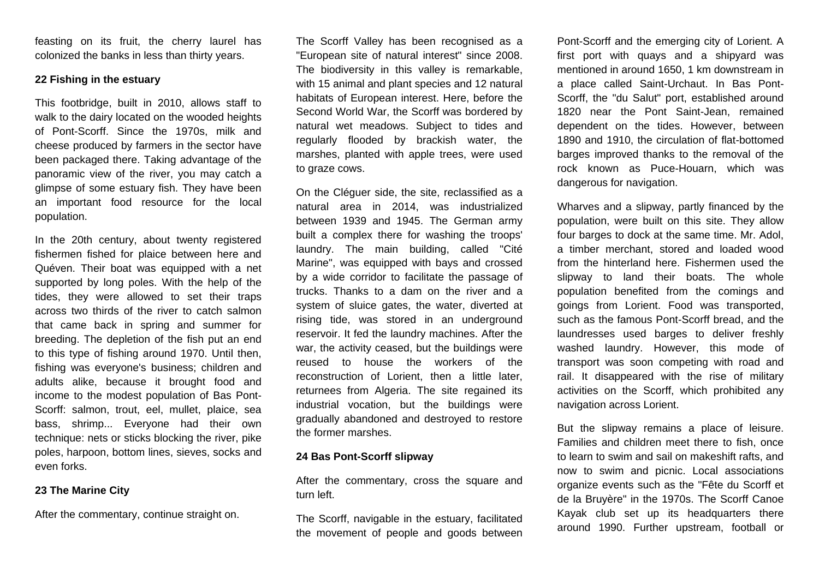feasting on its fruit, the cherry laurel has colonized the banks in less than thirty years.

#### **22 Fishing in the estuary**

This footbridge, built in 2010, allows staff to walk to the dairy located on the wooded heights of Pont-Scorff. Since the 1970s, milk and cheese produced by farmers in the sector have been packaged there. Taking advantage of the panoramic view of the river, you may catch a glimpse of some estuary fish. They have been an important food resource for the local population.

In the 20th century, about twenty registered fishermen fished for plaice between here and Quéven. Their boat was equipped with a net supported by long poles. With the help of the tides, they were allowed to set their traps across two thirds of the river to catch salmon that came back in spring and summer for breeding. The depletion of the fish put an end to this type of fishing around 1970. Until then, fishing was everyone's business; children and adults alike, because it brought food and income to the modest population of Bas Pont-Scorff: salmon, trout, eel, mullet, plaice, sea bass, shrimp... Everyone had their own technique: nets or sticks blocking the river, pike poles, harpoon, bottom lines, sieves, socks and even forks.

# **23 The Marine City**

After the commentary, continue straight on.

The Scorff Valley has been recognised as a "European site of natural interest" since 2008. The biodiversity in this valley is remarkable, with 15 animal and plant species and 12 natural habitats of European interest. Here, before the Second World War, the Scorff was bordered by natural wet meadows. Subject to tides and regularly flooded by brackish water, the marshes, planted with apple trees, were used to graze cows.

On the Cléguer side, the site, reclassified as a natural area in 2014, was industrialized between 1939 and 1945. The German army built a complex there for washing the troops' laundry. The main building, called "Cité Marine", was equipped with bays and crossed by a wide corridor to facilitate the passage of trucks. Thanks to a dam on the river and a system of sluice gates, the water, diverted at rising tide, was stored in an underground reservoir. It fed the laundry machines. After the war, the activity ceased, but the buildings were reused to house the workers of the reconstruction of Lorient, then a little later, returnees from Algeria. The site regained its industrial vocation, but the buildings were gradually abandoned and destroyed to restore the former marshes.

# **24 Bas Pont-Scorff slipway**

After the commentary, cross the square and turn left.

The Scorff, navigable in the estuary, facilitated the movement of people and goods between Pont-Scorff and the emerging city of Lorient. A first port with quays and a shipyard was mentioned in around 1650, 1 km downstream in a place called Saint-Urchaut. In Bas Pont-Scorff, the "du Salut" port, established around 1820 near the Pont Saint-Jean, remained dependent on the tides. However, between 1890 and 1910, the circulation of flat-bottomed barges improved thanks to the removal of the rock known as Puce-Houarn, which was dangerous for navigation.

Wharves and a slipway, partly financed by the population, were built on this site. They allow four barges to dock at the same time. Mr. Adol, a timber merchant, stored and loaded wood from the hinterland here. Fishermen used the slipway to land their boats. The whole population benefited from the comings and goings from Lorient. Food was transported, such as the famous Pont-Scorff bread, and the laundresses used barges to deliver freshly washed laundry. However, this mode of transport was soon competing with road and rail. It disappeared with the rise of military activities on the Scorff, which prohibited any navigation across Lorient.

But the slipway remains a place of leisure. Families and children meet there to fish, once to learn to swim and sail on makeshift rafts, and now to swim and picnic. Local associations organize events such as the "Fête du Scorff et de la Bruyère" in the 1970s. The Scorff Canoe Kayak club set up its headquarters there around 1990. Further upstream, football or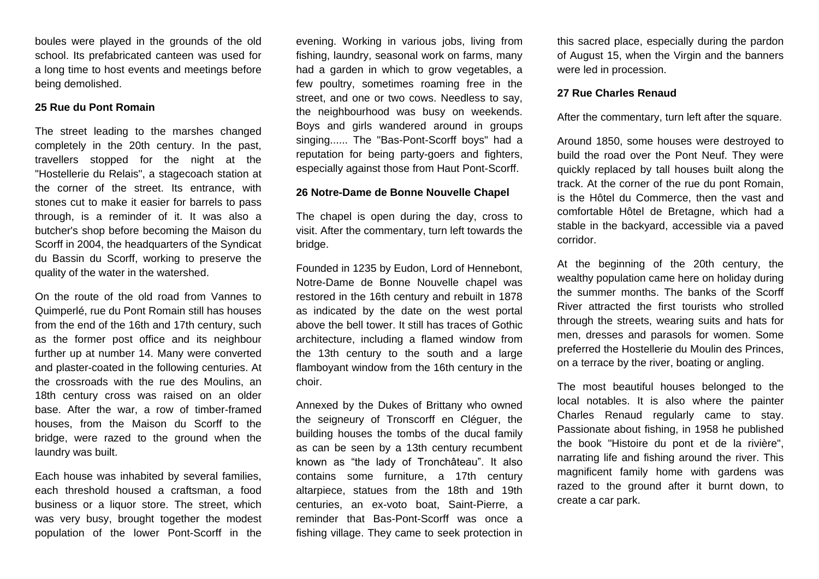boules were played in the grounds of the old school. Its prefabricated canteen was used for a long time to host events and meetings before being demolished.

#### **25 Rue du Pont Romain**

The street leading to the marshes changed completely in the 20th century. In the past, travellers stopped for the night at the "Hostellerie du Relais", a stagecoach station at the corner of the street. Its entrance, with stones cut to make it easier for barrels to pass through, is a reminder of it. It was also a butcher's shop before becoming the Maison du Scorff in 2004, the headquarters of the Syndicat du Bassin du Scorff, working to preserve the quality of the water in the watershed.

On the route of the old road from Vannes to Quimperlé, rue du Pont Romain still has houses from the end of the 16th and 17th century, such as the former post office and its neighbour further up at number 14. Many were converted and plaster-coated in the following centuries. At the crossroads with the rue des Moulins, an 18th century cross was raised on an older base. After the war, a row of timber-framed houses, from the Maison du Scorff to the bridge, were razed to the ground when the laundry was built.

Each house was inhabited by several families, each threshold housed a craftsman, a food business or a liquor store. The street, which was very busy, brought together the modest population of the lower Pont-Scorff in the

evening. Working in various jobs, living from fishing, laundry, seasonal work on farms, many had a garden in which to grow vegetables, a few poultry, sometimes roaming free in the street, and one or two cows. Needless to say, the neighbourhood was busy on weekends. Boys and girls wandered around in groups singing...... The "Bas-Pont-Scorff boys" had a reputation for being party-goers and fighters, especially against those from Haut Pont-Scorff.

#### **26 Notre-Dame de Bonne Nouvelle Chapel**

The chapel is open during the day, cross to visit. After the commentary, turn left towards the bridge.

Founded in 1235 by Eudon, Lord of Hennebont, Notre-Dame de Bonne Nouvelle chapel was restored in the 16th century and rebuilt in 1878 as indicated by the date on the west portal above the bell tower. It still has traces of Gothic architecture, including a flamed window from the 13th century to the south and a large flamboyant window from the 16th century in the choir.

Annexed by the Dukes of Brittany who owned the seigneury of Tronscorff en Cléguer, the building houses the tombs of the ducal family as can be seen by a 13th century recumbent known as "the lady of Tronchâteau". It also contains some furniture, a 17th century altarpiece, statues from the 18th and 19th centuries, an ex-voto boat, Saint-Pierre, a reminder that Bas-Pont-Scorff was once a fishing village. They came to seek protection in this sacred place, especially during the pardon of August 15, when the Virgin and the banners were led in procession.

#### **27 Rue Charles Renaud**

After the commentary, turn left after the square.

Around 1850, some houses were destroyed to build the road over the Pont Neuf. They were quickly replaced by tall houses built along the track. At the corner of the rue du pont Romain, is the Hôtel du Commerce, then the vast and comfortable Hôtel de Bretagne, which had a stable in the backyard, accessible via a paved corridor.

At the beginning of the 20th century, the wealthy population came here on holiday during the summer months. The banks of the Scorff River attracted the first tourists who strolled through the streets, wearing suits and hats for men, dresses and parasols for women. Some preferred the Hostellerie du Moulin des Princes, on a terrace by the river, boating or angling.

The most beautiful houses belonged to the local notables. It is also where the painter Charles Renaud regularly came to stay. Passionate about fishing, in 1958 he published the book "Histoire du pont et de la rivière", narrating life and fishing around the river. This magnificent family home with gardens was razed to the ground after it burnt down, to create a car park.